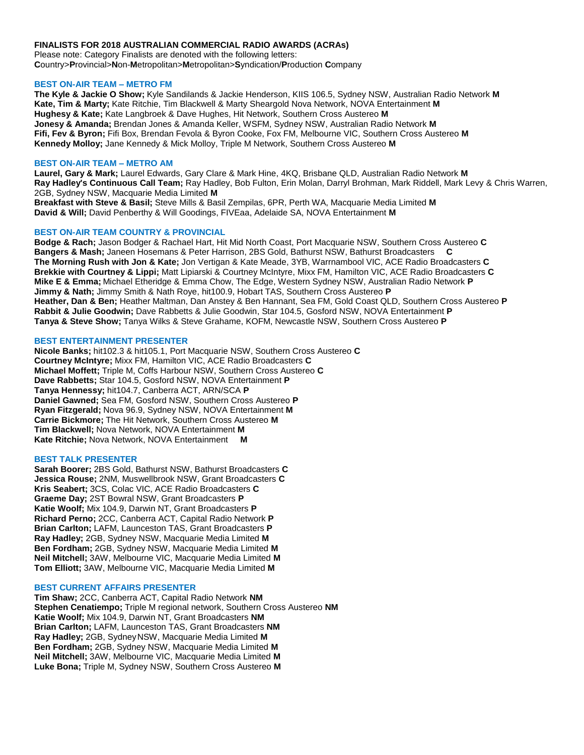## **FINALISTS FOR 2018 AUSTRALIAN COMMERCIAL RADIO AWARDS (ACRAs)**

Please note: Category Finalists are denoted with the following letters: **C**ountry>**P**rovincial>**N**on-**M**etropolitan>**M**etropolitan>**S**yndication/**P**roduction **C**ompany

## **BEST ON-AIR TEAM – METRO FM**

**The Kyle & Jackie O Show;** Kyle Sandilands & Jackie Henderson, KIIS 106.5, Sydney NSW, Australian Radio Network **M Kate, Tim & Marty;** Kate Ritchie, Tim Blackwell & Marty Sheargold Nova Network, NOVA Entertainment **M Hughesy & Kate;** Kate Langbroek & Dave Hughes, Hit Network, Southern Cross Austereo **M Jonesy & Amanda;** Brendan Jones & Amanda Keller, WSFM, Sydney NSW, Australian Radio Network **M Fifi, Fev & Byron;** Fifi Box, Brendan Fevola & Byron Cooke, Fox FM, Melbourne VIC, Southern Cross Austereo **M Kennedy Molloy;** Jane Kennedy & Mick Molloy, Triple M Network, Southern Cross Austereo **M**

### **BEST ON-AIR TEAM – METRO AM**

**Laurel, Gary & Mark;** Laurel Edwards, Gary Clare & Mark Hine, 4KQ, Brisbane QLD, Australian Radio Network **M Ray Hadley's Continuous Call Team;** Ray Hadley, Bob Fulton, Erin Molan, Darryl Brohman, Mark Riddell, Mark Levy & Chris Warren, 2GB, Sydney NSW, Macquarie Media Limited **M Breakfast with Steve & Basil;** Steve Mills & Basil Zempilas, 6PR, Perth WA, Macquarie Media Limited **M David & Will;** David Penberthy & Will Goodings, FIVEaa, Adelaide SA, NOVA Entertainment **M**

## **BEST ON-AIR TEAM COUNTRY & PROVINCIAL**

**Bodge & Rach;** Jason Bodger & Rachael Hart, Hit Mid North Coast, Port Macquarie NSW, Southern Cross Austereo **C Bangers & Mash;** Janeen Hosemans & Peter Harrison, 2BS Gold, Bathurst NSW, Bathurst Broadcasters **C The Morning Rush with Jon & Kate;** Jon Vertigan & Kate Meade, 3YB, Warrnambool VIC, ACE Radio Broadcasters **C Brekkie with Courtney & Lippi;** Matt Lipiarski & Courtney McIntyre, Mixx FM, Hamilton VIC, ACE Radio Broadcasters **C Mike E & Emma;** Michael Etheridge & Emma Chow, The Edge, Western Sydney NSW, Australian Radio Network **P Jimmy & Nath;** Jimmy Smith & Nath Roye, hit100.9, Hobart TAS, Southern Cross Austereo **P Heather, Dan & Ben;** Heather Maltman, Dan Anstey & Ben Hannant, Sea FM, Gold Coast QLD, Southern Cross Austereo **P Rabbit & Julie Goodwin;** Dave Rabbetts & Julie Goodwin, Star 104.5, Gosford NSW, NOVA Entertainment **P Tanya & Steve Show;** Tanya Wilks & Steve Grahame, KOFM, Newcastle NSW, Southern Cross Austereo **P**

## **BEST ENTERTAINMENT PRESENTER**

**Nicole Banks;** hit102.3 & hit105.1, Port Macquarie NSW, Southern Cross Austereo **C Courtney McIntyre;** Mixx FM, Hamilton VIC, ACE Radio Broadcasters **C Michael Moffett;** Triple M, Coffs Harbour NSW, Southern Cross Austereo **C Dave Rabbetts;** Star 104.5, Gosford NSW, NOVA Entertainment **P Tanya Hennessy;** hit104.7, Canberra ACT, ARN/SCA **P Daniel Gawned;** Sea FM, Gosford NSW, Southern Cross Austereo **P Ryan Fitzgerald;** Nova 96.9, Sydney NSW, NOVA Entertainment **M Carrie Bickmore;** The Hit Network, Southern Cross Austereo **M Tim Blackwell;** Nova Network, NOVA Entertainment **M Kate Ritchie;** Nova Network, NOVA Entertainment **M**

### **BEST TALK PRESENTER**

**Sarah Boorer;** 2BS Gold, Bathurst NSW, Bathurst Broadcasters **C Jessica Rouse;** 2NM, Muswellbrook NSW, Grant Broadcasters **C Kris Seabert;** 3CS, Colac VIC, ACE Radio Broadcasters **C Graeme Day;** 2ST Bowral NSW, Grant Broadcasters **P Katie Woolf;** Mix 104.9, Darwin NT, Grant Broadcasters **P Richard Perno;** 2CC, Canberra ACT, Capital Radio Network **P Brian Carlton;** LAFM, Launceston TAS, Grant Broadcasters **P Ray Hadley;** 2GB, Sydney NSW, Macquarie Media Limited **M Ben Fordham;** 2GB, Sydney NSW, Macquarie Media Limited **M Neil Mitchell;** 3AW, Melbourne VIC, Macquarie Media Limited **M Tom Elliott;** 3AW, Melbourne VIC, Macquarie Media Limited **M**

#### **BEST CURRENT AFFAIRS PRESENTER**

**Tim Shaw;** 2CC, Canberra ACT, Capital Radio Network **NM Stephen Cenatiempo;** Triple M regional network, Southern Cross Austereo **NM Katie Woolf;** Mix 104.9, Darwin NT, Grant Broadcasters **NM Brian Carlton;** LAFM, Launceston TAS, Grant Broadcasters **NM Ray Hadley;** 2GB, SydneyNSW, Macquarie Media Limited **M Ben Fordham;** 2GB, Sydney NSW, Macquarie Media Limited **M Neil Mitchell;** 3AW, Melbourne VIC, Macquarie Media Limited **M Luke Bona;** Triple M, Sydney NSW, Southern Cross Austereo **M**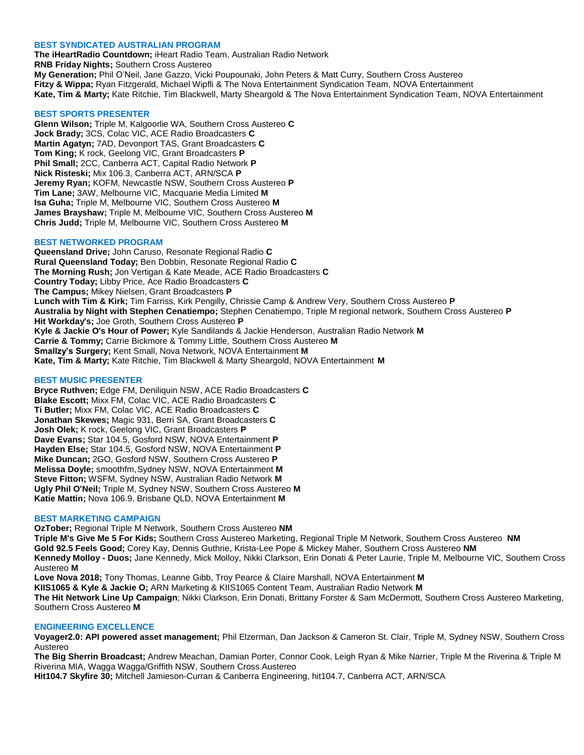## **BEST SYNDICATED AUSTRALIAN PROGRAM**

**The iHeartRadio Countdown;** iHeart Radio Team, Australian Radio Network **RNB Friday Nights;** Southern Cross Austereo **My Generation;** Phil O'Neil, Jane Gazzo, Vicki Poupounaki, John Peters & Matt Curry, Southern Cross Austereo **Fitzy & Wippa;** Ryan Fitzgerald, Michael Wipfli & The Nova Entertainment Syndication Team, NOVA Entertainment **Kate, Tim & Marty;** Kate Ritchie, Tim Blackwell, Marty Sheargold & The Nova Entertainment Syndication Team, NOVA Entertainment

## **BEST SPORTS PRESENTER**

**Glenn Wilson;** Triple M, Kalgoorlie WA, Southern Cross Austereo **C Jock Brady;** 3CS, Colac VIC, ACE Radio Broadcasters **C Martin Agatyn;** 7AD, Devonport TAS, Grant Broadcasters **C Tom King;** K rock, Geelong VIC, Grant Broadcasters **P Phil Small;** 2CC, Canberra ACT, Capital Radio Network **P Nick Risteski;** Mix 106.3, Canberra ACT, ARN/SCA **P Jeremy Ryan;** KOFM, Newcastle NSW, Southern Cross Austereo **P Tim Lane;** 3AW, Melbourne VIC, Macquarie Media Limited **M Isa Guha;** Triple M, Melbourne VIC, Southern Cross Austereo **M James Brayshaw;** Triple M, Melbourne VIC, Southern Cross Austereo **M Chris Judd;** Triple M, Melbourne VIC, Southern Cross Austereo **M**

## **BEST NETWORKED PROGRAM**

**Queensland Drive;** John Caruso, Resonate Regional Radio **C Rural Queensland Today;** Ben Dobbin, Resonate Regional Radio **C The Morning Rush;** Jon Vertigan & Kate Meade, ACE Radio Broadcasters **C Country Today;** Libby Price, Ace Radio Broadcasters **C The Campus;** Mikey Nielsen, Grant Broadcasters **P Lunch with Tim & Kirk;** Tim Farriss, Kirk Pengilly, Chrissie Camp & Andrew Very, Southern Cross Austereo **P Australia by Night with Stephen Cenatiempo;** Stephen Cenatiempo, Triple M regional network, Southern Cross Austereo **P Hit Workday's;** Joe Groth, Southern Cross Austereo **P Kyle & Jackie O's Hour of Power;** Kyle Sandilands & Jackie Henderson, Australian Radio Network **M Carrie & Tommy;** Carrie Bickmore & Tommy Little, Southern Cross Austereo **M Smallzy's Surgery;** Kent Small, Nova Network, NOVA Entertainment **M Kate, Tim & Marty;** Kate Ritchie, Tim Blackwell & Marty Sheargold, NOVA Entertainment **M**

## **BEST MUSIC PRESENTER**

**Bryce Ruthven;** Edge FM, Deniliquin NSW, ACE Radio Broadcasters **C Blake Escott;** Mixx FM, Colac VIC, ACE Radio Broadcasters **C Ti Butler;** Mixx FM, Colac VIC, ACE Radio Broadcasters **C Jonathan Skewes;** Magic 931, Berri SA, Grant Broadcasters **C Josh Olek;** K rock, Geelong VIC, Grant Broadcasters **P Dave Evans;** Star 104.5, Gosford NSW, NOVA Entertainment **P Hayden Else;** Star 104.5, Gosford NSW, NOVA Entertainment **P Mike Duncan;** 2GO, Gosford NSW, Southern Cross Austereo **P Melissa Doyle;** smoothfm,Sydney NSW, NOVA Entertainment **M Steve Fitton;** WSFM, Sydney NSW, Australian Radio Network **M Ugly Phil O'Neil;** Triple M, Sydney NSW, Southern Cross Austereo **M Katie Mattin;** Nova 106.9, Brisbane QLD, NOVA Entertainment **M**

#### **BEST MARKETING CAMPAIGN**

**OzTober;** Regional Triple M Network, Southern Cross Austereo **NM**

**Triple M's Give Me 5 For Kids;** Southern Cross Austereo Marketing, Regional Triple M Network, Southern Cross Austereo **NM Gold 92.5 Feels Good;** Corey Kay, Dennis Guthrie, Krista-Lee Pope & Mickey Maher, Southern Cross Austereo **NM Kennedy Molloy - Duos;** Jane Kennedy, Mick Molloy, Nikki Clarkson, Erin Donati & Peter Laurie, Triple M, Melbourne VIC, Southern Cross Austereo **M**

**Love Nova 2018;** Tony Thomas, Leanne Gibb, Troy Pearce & Claire Marshall, NOVA Entertainment **M KIIS1065 & Kyle & Jackie O;** ARN Marketing & KIIS1065 Content Team, Australian Radio Network **M The Hit Network Line Up Campaign**; Nikki Clarkson, Erin Donati, Brittany Forster & Sam McDermott, Southern Cross Austereo Marketing, Southern Cross Austereo **M**

## **ENGINEERING EXCELLENCE**

**Voyager2.0: API powered asset management;** Phil Elzerman, Dan Jackson & Cameron St. Clair, Triple M, Sydney NSW, Southern Cross Austereo

**The Big Sherrin Broadcast;** Andrew Meachan, Damian Porter, Connor Cook, Leigh Ryan & Mike Narrier, Triple M the Riverina & Triple M Riverina MIA, Wagga Wagga/Griffith NSW, Southern Cross Austereo

**Hit104.7 Skyfire 30;** Mitchell Jamieson-Curran & Canberra Engineering, hit104.7, Canberra ACT, ARN/SCA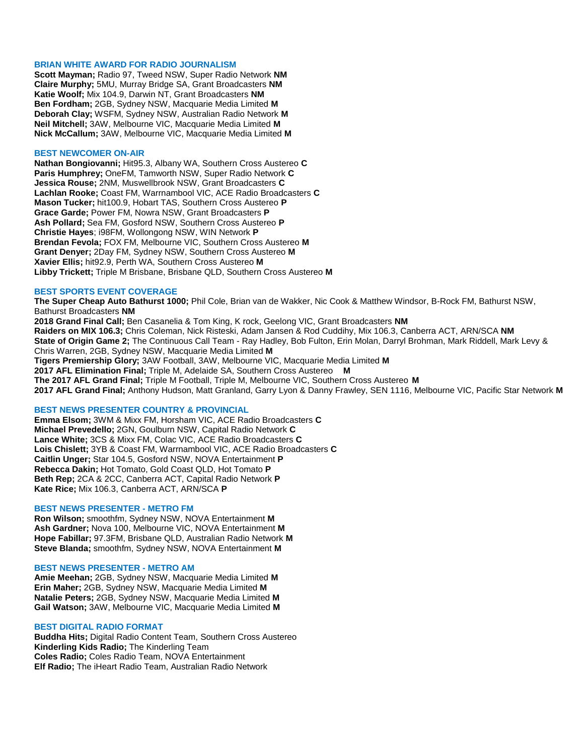### **BRIAN WHITE AWARD FOR RADIO JOURNALISM**

**Scott Mayman;** Radio 97, Tweed NSW, Super Radio Network **NM Claire Murphy;** 5MU, Murray Bridge SA, Grant Broadcasters **NM Katie Woolf;** Mix 104.9, Darwin NT, Grant Broadcasters **NM Ben Fordham;** 2GB, Sydney NSW, Macquarie Media Limited **M Deborah Clay;** WSFM, Sydney NSW, Australian Radio Network **M Neil Mitchell;** 3AW, Melbourne VIC, Macquarie Media Limited **M Nick McCallum;** 3AW, Melbourne VIC, Macquarie Media Limited **M**

## **BEST NEWCOMER ON-AIR**

**Nathan Bongiovanni;** Hit95.3, Albany WA, Southern Cross Austereo **C Paris Humphrey;** OneFM, Tamworth NSW, Super Radio Network **C Jessica Rouse;** 2NM, Muswellbrook NSW, Grant Broadcasters **C Lachlan Rooke;** Coast FM, Warrnambool VIC, ACE Radio Broadcasters **C Mason Tucker;** hit100.9, Hobart TAS, Southern Cross Austereo **P Grace Garde;** Power FM, Nowra NSW, Grant Broadcasters **P Ash Pollard;** Sea FM, Gosford NSW, Southern Cross Austereo **P Christie Hayes**; i98FM, Wollongong NSW, WIN Network **P Brendan Fevola;** FOX FM, Melbourne VIC, Southern Cross Austereo **M Grant Denyer;** 2Day FM, Sydney NSW, Southern Cross Austereo **M Xavier Ellis;** hit92.9, Perth WA, Southern Cross Austereo **M Libby Trickett;** Triple M Brisbane, Brisbane QLD, Southern Cross Austereo **M**

## **BEST SPORTS EVENT COVERAGE**

**The Super Cheap Auto Bathurst 1000;** Phil Cole, Brian van de Wakker, Nic Cook & Matthew Windsor, B-Rock FM, Bathurst NSW, Bathurst Broadcasters **NM**

**2018 Grand Final Call;** Ben Casanelia & Tom King, K rock, Geelong VIC, Grant Broadcasters **NM Raiders on MIX 106.3;** Chris Coleman, Nick Risteski, Adam Jansen & Rod Cuddihy, Mix 106.3, Canberra ACT, ARN/SCA **NM State of Origin Game 2;** The Continuous Call Team - Ray Hadley, Bob Fulton, Erin Molan, Darryl Brohman, Mark Riddell, Mark Levy & Chris Warren, 2GB, Sydney NSW, Macquarie Media Limited **M Tigers Premiership Glory;** 3AW Football, 3AW, Melbourne VIC, Macquarie Media Limited **M 2017 AFL Elimination Final;** Triple M, Adelaide SA, Southern Cross Austereo **M The 2017 AFL Grand Final;** Triple M Football, Triple M, Melbourne VIC, Southern Cross Austereo **M 2017 AFL Grand Final;** Anthony Hudson, Matt Granland, Garry Lyon & Danny Frawley, SEN 1116, Melbourne VIC, Pacific Star Network **M**

#### **BEST NEWS PRESENTER COUNTRY & PROVINCIAL**

**Emma Elsom;** 3WM & Mixx FM, Horsham VIC, ACE Radio Broadcasters **C Michael Prevedello;** 2GN, Goulburn NSW, Capital Radio Network **C Lance White;** 3CS & Mixx FM, Colac VIC, ACE Radio Broadcasters **C Lois Chislett;** 3YB & Coast FM, Warrnambool VIC, ACE Radio Broadcasters **C Caitlin Unger;** Star 104.5, Gosford NSW, NOVA Entertainment **P Rebecca Dakin;** Hot Tomato, Gold Coast QLD, Hot Tomato **P Beth Rep;** 2CA & 2CC, Canberra ACT, Capital Radio Network **P Kate Rice;** Mix 106.3, Canberra ACT, ARN/SCA **P**

#### **BEST NEWS PRESENTER - METRO FM**

**Ron Wilson;** smoothfm, Sydney NSW, NOVA Entertainment **M Ash Gardner;** Nova 100, Melbourne VIC, NOVA Entertainment **M Hope Fabillar;** 97.3FM, Brisbane QLD, Australian Radio Network **M Steve Blanda;** smoothfm, Sydney NSW, NOVA Entertainment **M**

#### **BEST NEWS PRESENTER - METRO AM**

**Amie Meehan;** 2GB, Sydney NSW, Macquarie Media Limited **M Erin Maher;** 2GB, Sydney NSW, Macquarie Media Limited **M Natalie Peters;** 2GB, Sydney NSW, Macquarie Media Limited **M Gail Watson;** 3AW, Melbourne VIC, Macquarie Media Limited **M**

#### **BEST DIGITAL RADIO FORMAT**

**Buddha Hits;** Digital Radio Content Team, Southern Cross Austereo **Kinderling Kids Radio;** The Kinderling Team **Coles Radio;** Coles Radio Team, NOVA Entertainment **Elf Radio;** The iHeart Radio Team, Australian Radio Network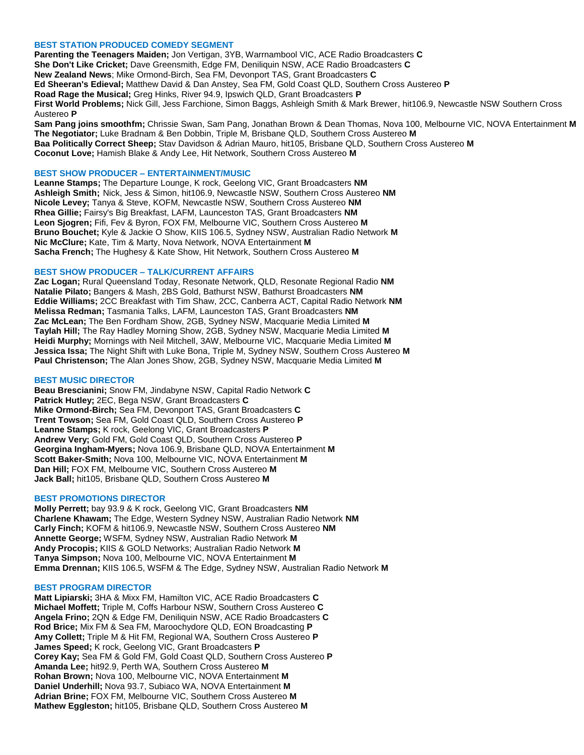## **BEST STATION PRODUCED COMEDY SEGMENT**

**Parenting the Teenagers Maiden;** Jon Vertigan, 3YB, Warrnambool VIC, ACE Radio Broadcasters **C She Don't Like Cricket;** Dave Greensmith, Edge FM, Deniliquin NSW, ACE Radio Broadcasters **C New Zealand News**; Mike Ormond-Birch, Sea FM, Devonport TAS, Grant Broadcasters **C Ed Sheeran's Edieval;** Matthew David & Dan Anstey, Sea FM, Gold Coast QLD, Southern Cross Austereo **P Road Rage the Musical;** Greg Hinks, River 94.9, Ipswich QLD, Grant Broadcasters **P First World Problems;** Nick Gill, Jess Farchione, Simon Baggs, Ashleigh Smith & Mark Brewer, hit106.9, Newcastle NSW Southern Cross Austereo **P**

**Sam Pang joins smoothfm;** Chrissie Swan, Sam Pang, Jonathan Brown & Dean Thomas, Nova 100, Melbourne VIC, NOVA Entertainment **M The Negotiator;** Luke Bradnam & Ben Dobbin, Triple M, Brisbane QLD, Southern Cross Austereo **M Baa Politically Correct Sheep;** Stav Davidson & Adrian Mauro, hit105, Brisbane QLD, Southern Cross Austereo **M Coconut Love;** Hamish Blake & Andy Lee, Hit Network, Southern Cross Austereo **M**

#### **BEST SHOW PRODUCER – ENTERTAINMENT/MUSIC**

**Leanne Stamps;** The Departure Lounge, K rock, Geelong VIC, Grant Broadcasters **NM Ashleigh Smith;** Nick, Jess & Simon, hit106.9, Newcastle NSW, Southern Cross Austereo **NM Nicole Levey;** Tanya & Steve, KOFM, Newcastle NSW, Southern Cross Austereo **NM Rhea Gillie;** Fairsy's Big Breakfast, LAFM, Launceston TAS, Grant Broadcasters **NM Leon Sjogren;** Fifi, Fev & Byron, FOX FM, Melbourne VIC, Southern Cross Austereo **M Bruno Bouchet;** Kyle & Jackie O Show, KIIS 106.5, Sydney NSW, Australian Radio Network **M Nic McClure;** Kate, Tim & Marty, Nova Network, NOVA Entertainment **M Sacha French;** The Hughesy & Kate Show, Hit Network, Southern Cross Austereo **M**

## **BEST SHOW PRODUCER – TALK/CURRENT AFFAIRS**

**Zac Logan;** Rural Queensland Today, Resonate Network, QLD, Resonate Regional Radio **NM Natalie Pilato;** Bangers & Mash, 2BS Gold, Bathurst NSW, Bathurst Broadcasters **NM Eddie Williams;** 2CC Breakfast with Tim Shaw, 2CC, Canberra ACT, Capital Radio Network **NM Melissa Redman;** Tasmania Talks, LAFM, Launceston TAS, Grant Broadcasters **NM Zac McLean;** The Ben Fordham Show, 2GB, Sydney NSW, Macquarie Media Limited **M Taylah Hill;** The Ray Hadley Morning Show, 2GB, Sydney NSW, Macquarie Media Limited **M Heidi Murphy;** Mornings with Neil Mitchell, 3AW, Melbourne VIC, Macquarie Media Limited **M Jessica Issa;** The Night Shift with Luke Bona, Triple M, Sydney NSW, Southern Cross Austereo **M Paul Christenson;** The Alan Jones Show, 2GB, Sydney NSW, Macquarie Media Limited **M**

#### **BEST MUSIC DIRECTOR**

**Beau Brescianini;** Snow FM, Jindabyne NSW, Capital Radio Network **C Patrick Hutley;** 2EC, Bega NSW, Grant Broadcasters **C Mike Ormond-Birch;** Sea FM, Devonport TAS, Grant Broadcasters **C Trent Towson;** Sea FM, Gold Coast QLD, Southern Cross Austereo **P Leanne Stamps;** K rock, Geelong VIC, Grant Broadcasters **P Andrew Very;** Gold FM, Gold Coast QLD, Southern Cross Austereo **P Georgina Ingham-Myers;** Nova 106.9, Brisbane QLD, NOVA Entertainment **M Scott Baker-Smith;** Nova 100, Melbourne VIC, NOVA Entertainment **M Dan Hill;** FOX FM, Melbourne VIC, Southern Cross Austereo **M Jack Ball;** hit105, Brisbane QLD, Southern Cross Austereo **M**

## **BEST PROMOTIONS DIRECTOR**

**Molly Perrett;** bay 93.9 & K rock, Geelong VIC, Grant Broadcasters **NM Charlene Khawam;** The Edge, Western Sydney NSW, Australian Radio Network **NM Carly Finch;** KOFM & hit106.9, Newcastle NSW, Southern Cross Austereo **NM Annette George;** WSFM, Sydney NSW, Australian Radio Network **M Andy Procopis;** KIIS & GOLD Networks; Australian Radio Network **M Tanya Simpson;** Nova 100, Melbourne VIC, NOVA Entertainment **M Emma Drennan;** KIIS 106.5, WSFM & The Edge, Sydney NSW, Australian Radio Network **M**

#### **BEST PROGRAM DIRECTOR**

**Matt Lipiarski;** 3HA & Mixx FM, Hamilton VIC, ACE Radio Broadcasters **C Michael Moffett;** Triple M, Coffs Harbour NSW, Southern Cross Austereo **C Angela Frino;** 2QN & Edge FM, Deniliquin NSW, ACE Radio Broadcasters **C Rod Brice;** Mix FM & Sea FM, Maroochydore QLD, EON Broadcasting **P Amy Collett;** Triple M & Hit FM, Regional WA, Southern Cross Austereo **P James Speed;** K rock, Geelong VIC, Grant Broadcasters **P Corey Kay;** Sea FM & Gold FM, Gold Coast QLD, Southern Cross Austereo **P Amanda Lee;** hit92.9, Perth WA, Southern Cross Austereo **M Rohan Brown;** Nova 100, Melbourne VIC, NOVA Entertainment **M Daniel Underhill;** Nova 93.7, Subiaco WA, NOVA Entertainment **M Adrian Brine;** FOX FM, Melbourne VIC, Southern Cross Austereo **M Mathew Eggleston;** hit105, Brisbane QLD, Southern Cross Austereo **M**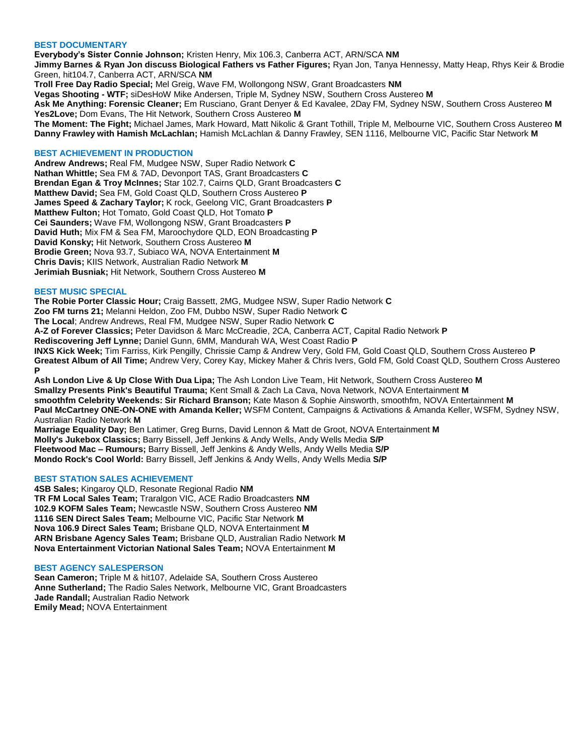## **BEST DOCUMENTARY**

**Everybody's Sister Connie Johnson;** Kristen Henry, Mix 106.3, Canberra ACT, ARN/SCA **NM Jimmy Barnes & Ryan Jon discuss Biological Fathers vs Father Figures;** Ryan Jon, Tanya Hennessy, Matty Heap, Rhys Keir & Brodie Green, hit104.7, Canberra ACT, ARN/SCA **NM Troll Free Day Radio Special;** Mel Greig, Wave FM, Wollongong NSW, Grant Broadcasters **NM Vegas Shooting - WTF;** siDesHoW Mike Andersen, Triple M, Sydney NSW, Southern Cross Austereo **M Ask Me Anything: Forensic Cleaner;** Em Rusciano, Grant Denyer & Ed Kavalee, 2Day FM, Sydney NSW, Southern Cross Austereo **M Yes2Love;** Dom Evans, The Hit Network, Southern Cross Austereo **M The Moment: The Fight;** Michael James, Mark Howard, Matt Nikolic & Grant Tothill, Triple M, Melbourne VIC, Southern Cross Austereo **M Danny Frawley with Hamish McLachlan;** Hamish McLachlan & Danny Frawley, SEN 1116, Melbourne VIC, Pacific Star Network **M**

### **BEST ACHIEVEMENT IN PRODUCTION**

**Andrew Andrews;** Real FM, Mudgee NSW, Super Radio Network **C Nathan Whittle;** Sea FM & 7AD, Devonport TAS, Grant Broadcasters **C Brendan Egan & Troy McInnes;** Star 102.7, Cairns QLD, Grant Broadcasters **C Matthew David;** Sea FM, Gold Coast QLD, Southern Cross Austereo **P James Speed & Zachary Taylor;** K rock, Geelong VIC, Grant Broadcasters **P Matthew Fulton;** Hot Tomato, Gold Coast QLD, Hot Tomato **P Cei Saunders;** Wave FM, Wollongong NSW, Grant Broadcasters **P David Huth;** Mix FM & Sea FM, Maroochydore QLD, EON Broadcasting **P David Konsky;** Hit Network, Southern Cross Austereo **M Brodie Green;** Nova 93.7, Subiaco WA, NOVA Entertainment **M Chris Davis;** KIIS Network, Australian Radio Network **M Jerimiah Busniak;** Hit Network, Southern Cross Austereo **M**

## **BEST MUSIC SPECIAL**

**The Robie Porter Classic Hour;** Craig Bassett, 2MG, Mudgee NSW, Super Radio Network **C Zoo FM turns 21;** Melanni Heldon, Zoo FM, Dubbo NSW, Super Radio Network **C The Local**; Andrew Andrews, Real FM, Mudgee NSW, Super Radio Network **C A-Z of Forever Classics;** Peter Davidson & Marc McCreadie, 2CA, Canberra ACT, Capital Radio Network **P Rediscovering Jeff Lynne;** Daniel Gunn, 6MM, Mandurah WA, West Coast Radio **P INXS Kick Week;** Tim Farriss, Kirk Pengilly, Chrissie Camp & Andrew Very, Gold FM, Gold Coast QLD, Southern Cross Austereo **P Greatest Album of All Time;** Andrew Very, Corey Kay, Mickey Maher & Chris Ivers, Gold FM, Gold Coast QLD, Southern Cross Austereo **P Ash London Live & Up Close With Dua Lipa;** The Ash London Live Team, Hit Network, Southern Cross Austereo **M**

**Smallzy Presents Pink's Beautiful Trauma;** Kent Small & Zach La Cava, Nova Network, NOVA Entertainment **M smoothfm Celebrity Weekends: Sir Richard Branson;** Kate Mason & Sophie Ainsworth, smoothfm, NOVA Entertainment **M Paul McCartney ONE-ON-ONE with Amanda Keller;** WSFM Content, Campaigns & Activations & Amanda Keller, WSFM, Sydney NSW, Australian Radio Network **M Marriage Equality Day;** Ben Latimer, Greg Burns, David Lennon & Matt de Groot, NOVA Entertainment **M**

**Molly's Jukebox Classics;** Barry Bissell, Jeff Jenkins & Andy Wells, Andy Wells Media **S/P Fleetwood Mac – Rumours;** Barry Bissell, Jeff Jenkins & Andy Wells, Andy Wells Media **S/P Mondo Rock's Cool World:** Barry Bissell, Jeff Jenkins & Andy Wells, Andy Wells Media **S/P**

#### **BEST STATION SALES ACHIEVEMENT**

**4SB Sales;** Kingaroy QLD, Resonate Regional Radio **NM TR FM Local Sales Team;** Traralgon VIC, ACE Radio Broadcasters **NM 102.9 KOFM Sales Team;** Newcastle NSW, Southern Cross Austereo **NM 1116 SEN Direct Sales Team;** Melbourne VIC, Pacific Star Network **M Nova 106.9 Direct Sales Team;** Brisbane QLD, NOVA Entertainment **M ARN Brisbane Agency Sales Team;** Brisbane QLD, Australian Radio Network **M Nova Entertainment Victorian National Sales Team;** NOVA Entertainment **M**

## **BEST AGENCY SALESPERSON**

**Sean Cameron;** Triple M & hit107, Adelaide SA, Southern Cross Austereo **Anne Sutherland;** The Radio Sales Network, Melbourne VIC, Grant Broadcasters **Jade Randall;** Australian Radio Network **Emily Mead;** NOVA Entertainment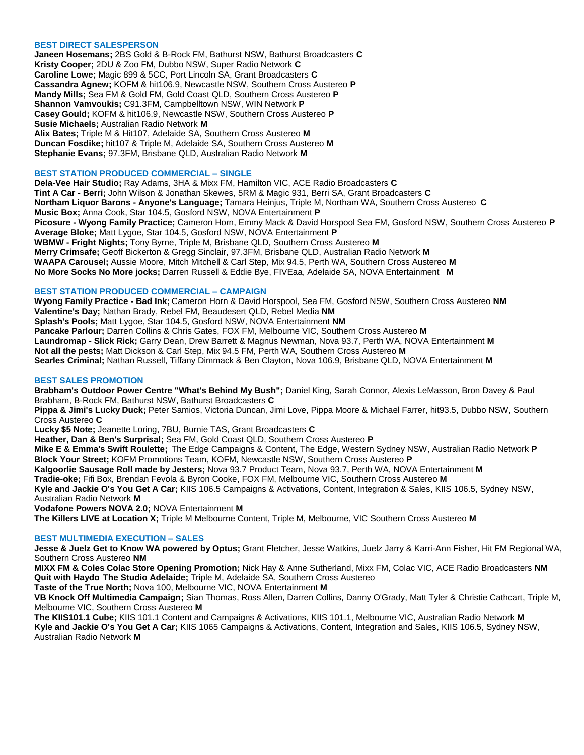## **BEST DIRECT SALESPERSON**

**Janeen Hosemans;** 2BS Gold & B-Rock FM, Bathurst NSW, Bathurst Broadcasters **C Kristy Cooper;** 2DU & Zoo FM, Dubbo NSW, Super Radio Network **C Caroline Lowe;** Magic 899 & 5CC, Port Lincoln SA, Grant Broadcasters **C Cassandra Agnew;** KOFM & hit106.9, Newcastle NSW, Southern Cross Austereo **P Mandy Mills;** Sea FM & Gold FM, Gold Coast QLD, Southern Cross Austereo **P Shannon Vamvoukis;** C91.3FM, Campbelltown NSW, WIN Network **P Casey Gould;** KOFM & hit106.9, Newcastle NSW, Southern Cross Austereo **P Susie Michaels;** Australian Radio Network **M Alix Bates;** Triple M & Hit107, Adelaide SA, Southern Cross Austereo **M Duncan Fosdike;** hit107 & Triple M, Adelaide SA, Southern Cross Austereo **M Stephanie Evans;** 97.3FM, Brisbane QLD, Australian Radio Network **M**

## **BEST STATION PRODUCED COMMERCIAL – SINGLE**

**Dela-Vee Hair Studio;** Ray Adams, 3HA & Mixx FM, Hamilton VIC, ACE Radio Broadcasters **C Tint A Car - Berri;** John Wilson & Jonathan Skewes, 5RM & Magic 931, Berri SA, Grant Broadcasters **C Northam Liquor Barons - Anyone's Language;** Tamara Heinjus, Triple M, Northam WA, Southern Cross Austereo **C Music Box;** Anna Cook, Star 104.5, Gosford NSW, NOVA Entertainment **P Picosure - Wyong Family Practice;** Cameron Horn, Emmy Mack & David Horspool Sea FM, Gosford NSW, Southern Cross Austereo **P Average Bloke;** Matt Lygoe, Star 104.5, Gosford NSW, NOVA Entertainment **P WBMW - Fright Nights;** Tony Byrne, Triple M, Brisbane QLD, Southern Cross Austereo **M Merry Crimsafe;** Geoff Bickerton & Gregg Sinclair, 97.3FM, Brisbane QLD, Australian Radio Network **M WAAPA Carousel;** Aussie Moore, Mitch Mitchell & Carl Step, Mix 94.5, Perth WA, Southern Cross Austereo **M No More Socks No More jocks;** Darren Russell & Eddie Bye, FIVEaa, Adelaide SA, NOVA Entertainment **M**

#### **BEST STATION PRODUCED COMMERCIAL – CAMPAIGN**

**Wyong Family Practice - Bad Ink;** Cameron Horn & David Horspool, Sea FM, Gosford NSW, Southern Cross Austereo **NM Valentine's Day;** Nathan Brady, Rebel FM, Beaudesert QLD, Rebel Media **NM Splash's Pools;** Matt Lygoe, Star 104.5, Gosford NSW, NOVA Entertainment **NM Pancake Parlour;** Darren Collins & Chris Gates, FOX FM, Melbourne VIC, Southern Cross Austereo **M Laundromap - Slick Rick;** Garry Dean, Drew Barrett & Magnus Newman, Nova 93.7, Perth WA, NOVA Entertainment **M Not all the pests;** Matt Dickson & Carl Step, Mix 94.5 FM, Perth WA, Southern Cross Austereo **M Searles Criminal;** Nathan Russell, Tiffany Dimmack & Ben Clayton, Nova 106.9, Brisbane QLD, NOVA Entertainment **M**

## **BEST SALES PROMOTION**

**Brabham's Outdoor Power Centre "What's Behind My Bush";** Daniel King, Sarah Connor, Alexis LeMasson, Bron Davey & Paul Brabham, B-Rock FM, Bathurst NSW, Bathurst Broadcasters **C**

**Pippa & Jimi's Lucky Duck;** Peter Samios, Victoria Duncan, Jimi Love, Pippa Moore & Michael Farrer, hit93.5, Dubbo NSW, Southern Cross Austereo **C**

**Lucky \$5 Note;** Jeanette Loring, 7BU, Burnie TAS, Grant Broadcasters **C**

**Heather, Dan & Ben's Surprisal;** Sea FM, Gold Coast QLD, Southern Cross Austereo **P**

**Mike E & Emma's Swift Roulette;** The Edge Campaigns & Content, The Edge, Western Sydney NSW, Australian Radio Network **P Block Your Street;** KOFM Promotions Team, KOFM, Newcastle NSW, Southern Cross Austereo **P**

**Kalgoorlie Sausage Roll made by Jesters;** Nova 93.7 Product Team, Nova 93.7, Perth WA, NOVA Entertainment **M**

**Tradie-oke;** Fifi Box, Brendan Fevola & Byron Cooke, FOX FM, Melbourne VIC, Southern Cross Austereo **M**

**Kyle and Jackie O's You Get A Car;** KIIS 106.5 Campaigns & Activations, Content, Integration & Sales, KIIS 106.5, Sydney NSW, Australian Radio Network **M**

**Vodafone Powers NOVA 2.0;** NOVA Entertainment **M**

**The Killers LIVE at Location X;** Triple M Melbourne Content, Triple M, Melbourne, VIC Southern Cross Austereo **M**

## **BEST MULTIMEDIA EXECUTION – SALES**

**Jesse & Juelz Get to Know WA powered by Optus;** Grant Fletcher, Jesse Watkins, Juelz Jarry & Karri-Ann Fisher, Hit FM Regional WA, Southern Cross Austereo **NM**

**MIXX FM & Coles Colac Store Opening Promotion;** Nick Hay & Anne Sutherland, Mixx FM, Colac VIC, ACE Radio Broadcasters **NM Quit with Haydo The Studio Adelaide;** Triple M, Adelaide SA, Southern Cross Austereo

**Taste of the True North;** Nova 100, Melbourne VIC, NOVA Entertainment **M**

**VB Knock Off Multimedia Campaign;** Sian Thomas, Ross Allen, Darren Collins, Danny O'Grady, Matt Tyler & Christie Cathcart, Triple M, Melbourne VIC, Southern Cross Austereo **M**

**The KIIS101.1 Cube;** KIIS 101.1 Content and Campaigns & Activations, KIIS 101.1, Melbourne VIC, Australian Radio Network **M Kyle and Jackie O's You Get A Car;** KIIS 1065 Campaigns & Activations, Content, Integration and Sales, KIIS 106.5, Sydney NSW, Australian Radio Network **M**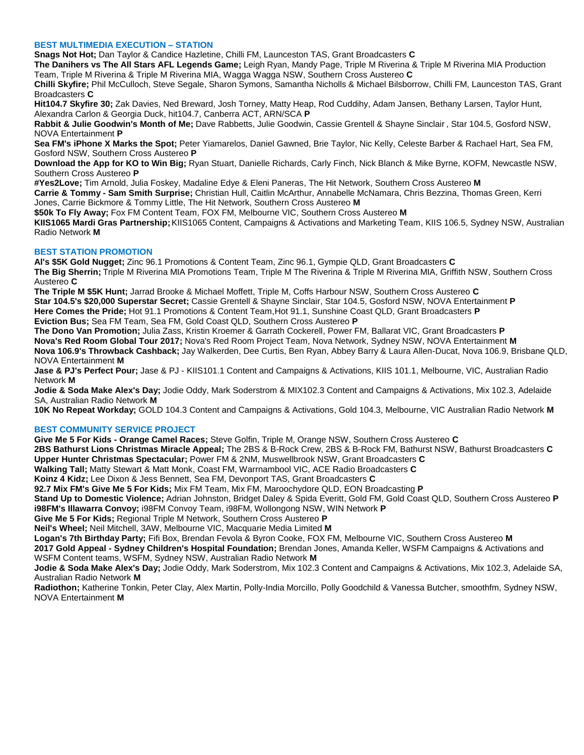## **BEST MULTIMEDIA EXECUTION – STATION**

**Snags Not Hot;** Dan Taylor & Candice Hazletine, Chilli FM, Launceston TAS, Grant Broadcasters **C**

**The Danihers vs The All Stars AFL Legends Game;** Leigh Ryan, Mandy Page, Triple M Riverina & Triple M Riverina MIA Production Team, Triple M Riverina & Triple M Riverina MIA, Wagga Wagga NSW, Southern Cross Austereo **C**

**Chilli Skyfire;** Phil McCulloch, Steve Segale, Sharon Symons, Samantha Nicholls & Michael Bilsborrow, Chilli FM, Launceston TAS, Grant Broadcasters **C**

**Hit104.7 Skyfire 30;** Zak Davies, Ned Breward, Josh Torney, Matty Heap, Rod Cuddihy, Adam Jansen, Bethany Larsen, Taylor Hunt, Alexandra Carlon & Georgia Duck, hit104.7, Canberra ACT, ARN/SCA **P**

**Rabbit & Julie Goodwin's Month of Me;** Dave Rabbetts, Julie Goodwin, Cassie Grentell & Shayne Sinclair , Star 104.5, Gosford NSW, NOVA Entertainment **P**

**Sea FM's iPhone X Marks the Spot;** Peter Yiamarelos, Daniel Gawned, Brie Taylor, Nic Kelly, Celeste Barber & Rachael Hart, Sea FM, Gosford NSW, Southern Cross Austereo **P**

**Download the App for KO to Win Big;** Ryan Stuart, Danielle Richards, Carly Finch, Nick Blanch & Mike Byrne, KOFM, Newcastle NSW, Southern Cross Austereo **P**

**#Yes2Love;** Tim Arnold, Julia Foskey, Madaline Edye & Eleni Paneras, The Hit Network, Southern Cross Austereo **M Carrie & Tommy - Sam Smith Surprise;** Christian Hull, Caitlin McArthur, Annabelle McNamara, Chris Bezzina, Thomas Green, Kerri

Jones, Carrie Bickmore & Tommy Little, The Hit Network, Southern Cross Austereo **M**

**\$50k To Fly Away;** Fox FM Content Team, FOX FM, Melbourne VIC, Southern Cross Austereo **M**

**KIIS1065 Mardi Gras Partnership;**KIIS1065 Content, Campaigns & Activations and Marketing Team, KIIS 106.5, Sydney NSW, Australian Radio Network **M**

## **BEST STATION PROMOTION**

**Al's \$5K Gold Nugget;** Zinc 96.1 Promotions & Content Team, Zinc 96.1, Gympie QLD, Grant Broadcasters **C The Big Sherrin;** Triple M Riverina MIA Promotions Team, Triple M The Riverina & Triple M Riverina MIA, Griffith NSW, Southern Cross Austereo **C**

**The Triple M \$5K Hunt;** Jarrad Brooke & Michael Moffett, Triple M, Coffs Harbour NSW, Southern Cross Austereo **C Star 104.5's \$20,000 Superstar Secret;** Cassie Grentell & Shayne Sinclair, Star 104.5, Gosford NSW, NOVA Entertainment **P Here Comes the Pride;** Hot 91.1 Promotions & Content Team,Hot 91.1, Sunshine Coast QLD, Grant Broadcasters **P Eviction Bus;** Sea FM Team, Sea FM, Gold Coast QLD, Southern Cross Austereo **P**

**The Dono Van Promotion;** Julia Zass, Kristin Kroemer & Garrath Cockerell, Power FM, Ballarat VIC, Grant Broadcasters **P Nova's Red Room Global Tour 2017;** Nova's Red Room Project Team, Nova Network, Sydney NSW, NOVA Entertainment **M Nova 106.9's Throwback Cashback;** Jay Walkerden, Dee Curtis, Ben Ryan, Abbey Barry & Laura Allen-Ducat, Nova 106.9, Brisbane QLD, NOVA Entertainment **M**

**Jase & PJ's Perfect Pour;** Jase & PJ - KIIS101.1 Content and Campaigns & Activations, KIIS 101.1, Melbourne, VIC, Australian Radio Network **M**

**Jodie & Soda Make Alex's Day;** Jodie Oddy, Mark Soderstrom & MIX102.3 Content and Campaigns & Activations, Mix 102.3, Adelaide SA, Australian Radio Network **M**

**10K No Repeat Workday;** GOLD 104.3 Content and Campaigns & Activations, Gold 104.3, Melbourne, VIC Australian Radio Network **M**

# **BEST COMMUNITY SERVICE PROJECT**

**Give Me 5 For Kids - Orange Camel Races;** Steve Golfin, Triple M, Orange NSW, Southern Cross Austereo **C**

**2BS Bathurst Lions Christmas Miracle Appeal;** The 2BS & B-Rock Crew, 2BS & B-Rock FM, Bathurst NSW, Bathurst Broadcasters **C Upper Hunter Christmas Spectacular;** Power FM & 2NM, Muswellbrook NSW, Grant Broadcasters **C**

**Walking Tall;** Matty Stewart & Matt Monk, Coast FM, Warrnambool VIC, ACE Radio Broadcasters **C**

**Koinz 4 Kidz;** Lee Dixon & Jess Bennett, Sea FM, Devonport TAS, Grant Broadcasters **C**

**92.7 Mix FM's Give Me 5 For Kids;** Mix FM Team, Mix FM, Maroochydore QLD, EON Broadcasting **P**

**Stand Up to Domestic Violence;** Adrian Johnston, Bridget Daley & Spida Everitt, Gold FM, Gold Coast QLD, Southern Cross Austereo **P i98FM's Illawarra Convoy;** i98FM Convoy Team, i98FM, Wollongong NSW, WIN Network **P**

**Give Me 5 For Kids;** Regional Triple M Network, Southern Cross Austereo **P**

**Neil's Wheel;** Neil Mitchell, 3AW, Melbourne VIC, Macquarie Media Limited **M**

**Logan's 7th Birthday Party;** Fifi Box, Brendan Fevola & Byron Cooke, FOX FM, Melbourne VIC, Southern Cross Austereo **M**

**2017 Gold Appeal - Sydney Children's Hospital Foundation;** Brendan Jones, Amanda Keller, WSFM Campaigns & Activations and WSFM Content teams, WSFM, Sydney NSW, Australian Radio Network **M**

**Jodie & Soda Make Alex's Day;** Jodie Oddy, Mark Soderstrom, Mix 102.3 Content and Campaigns & Activations, Mix 102.3, Adelaide SA, Australian Radio Network **M**

**Radiothon;** Katherine Tonkin, Peter Clay, Alex Martin, Polly-India Morcillo, Polly Goodchild & Vanessa Butcher, smoothfm, Sydney NSW, NOVA Entertainment **M**